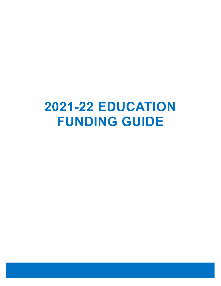# **2021-22 EDUCATION FUNDING GUIDE**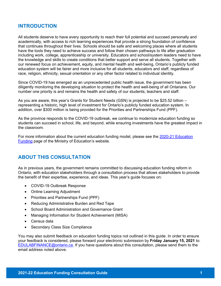## **INTRODUCTION**

All students deserve to have every opportunity to reach their full potential and succeed personally and academically, with access to rich learning experiences that provide a strong foundation of confidence that continues throughout their lives. Schools should be safe and welcoming places where all students have the tools they need to achieve success and follow their chosen pathways to life after graduation including work, college, apprenticeship or university. Educators and school/system leaders need to have the knowledge and skills to create conditions that better support and serve all students. Together with our renewed focus on achievement, equity, and mental health and well-being, Ontario's publicly funded education system will be fairer and more inclusive for all students, educators and staff, regardless of race, religion, ethnicity, sexual orientation or any other factor related to individual identity.

Since COVID-19 has emerged as an unprecedented public health issue, the government has been diligently monitoring the developing situation to protect the health and well-being of all Ontarians. Our number one priority is and remains the health and safety of our students, teachers and staff.

As you are aware, this year's Grants for Student Needs (GSN) is projected to be \$25.52 billion – representing a historic, high level of investment for Ontario's publicly funded education system. In addition, over \$300 million is being provided for the Priorities and Partnerships Fund (PPF).

As the province responds to the COVID-19 outbreak, we continue to modernize education funding so students can succeed in school, life, and beyond, while ensuring investments have the greatest impact in the classroom.

[For more information about the current education funding model, please see the 2020-21 Education](http://www.edu.gov.on.ca/eng/policyfunding/funding.html)  Funding page of the Ministry of Education's website.

# **ABOUT THIS CONSULTATION**

As in previous years, the government remains committed to discussing education funding reform in Ontario, with education stakeholders through a consultation process that allows stakeholders to provide the benefit of their expertise, experience, and ideas. This year's guide focuses on:

- COVID-19 Outbreak Response
- Online Learning Adjustment
- Priorities and Partnerships Fund (PPF)
- Reducing Administrative Burden and Red Tape
- School Board Administration and Governance Grant
- Managing Information for Student Achievement (MISA)
- Census data
- Secondary Class Size Compliance

You may also submit feedback on education funding topics not outlined in this guide. In order to ensure your feedback is considered, please forward your electronic submission by **Friday January 15, 2021** to: ED[ULABFINANCE@ontario.ca.](mailto:EDULABFINANCE@ontario.ca) If you have questions about this consultation, please send them to the email address noted above.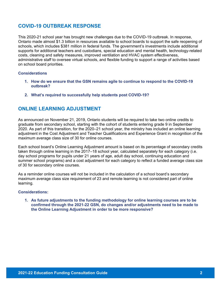# **COVID-19 OUTBREAK RESPONSE**

This 2020-21 school year has brought new challenges due to the COVID-19 outbreak. In response, Ontario made almost \$1.3 billion in resources available to school boards to support the safe reopening of schools, which includes \$381 million in federal funds. The government's investments include additional supports for additional teachers and custodians, special education and mental health, technology-related costs, cleaning and safety measures, improved ventilation and HVAC system effectiveness, administrative staff to oversee virtual schools, and flexible funding to support a range of activities based on school board priorities.

#### **Considerations**

- **1. How do we ensure that the GSN remains agile to continue to respond to the COVID-19 outbreak?**
- **2. What's required to successfully help students post COVID-19?**

## **ONLINE LEARNING ADJUSTMENT**

As announced on November 21, 2019, Ontario students will be required to take two online credits to graduate from secondary school, starting with the cohort of students entering grade 9 in September 2020. As part of this transition, for the 2020–21 school year, the ministry has included an online learning adjustment in the Cost Adjustment and Teacher Qualifications and Experience Grant in recognition of the maximum average class size of 30 for online courses.

Each school board's Online Learning Adjustment amount is based on its percentage of secondary credits taken through online learning in the 2017–18 school year, calculated separately for each category (i.e. day school programs for pupils under 21 years of age, adult day school, continuing education and summer school programs) and a cost adjustment for each category to reflect a funded average class size of 30 for secondary online courses.

As a reminder online courses will not be included in the calculation of a school board's secondary maximum average class size requirement of 23 and remote learning is not considered part of online learning.

#### **Considerations:**

**1. As future adjustments to the funding methodology for online learning courses are to be confirmed through the 2021-22 GSN, do changes and/or adjustments need to be made to the Online Learning Adjustment in order to be more responsive?**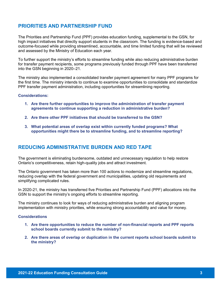# **PRIORITIES AND PARTNERSHIP FUND**

The [Priorities and Partnership Fund](https://efis.fma.csc.gov.on.ca/faab/Memos/B2019/B15_EN_Final.pdf) (PPF) provides education funding, supplemental to the GSN, for high impact initiatives that directly support students in the classroom. The funding is evidence-based and outcome-focused while providing streamlined, accountable, and time limited funding that will be reviewed and assessed by the Ministry of Education each year.

To further support the ministry's efforts to streamline funding while also reducing administrative burden for transfer payment recipients, some programs previously funded through PPF have been transferred into the GSN beginning in 2020–21.

The ministry also implemented a consolidated transfer payment agreement for many PPF programs for the first time. The ministry intends to continue to examine opportunities to consolidate and standardize PPF transfer payment administration, including opportunities for streamlining reporting.

#### **Considerations:**

- **1. Are there further opportunities to improve the administration of transfer payment agreements to continue supporting a reduction in administrative burden?**
- **2. Are there other PPF initiatives that should be transferred to the GSN?**
- **3. What potential areas of overlap exist within currently funded programs? What opportunities might there be to streamline funding, and to streamline reporting?**

## **REDUCING ADMINISTRATIVE BURDEN AND RED TAPE**

The government is eliminating burdensome, outdated and unnecessary regulation to help restore Ontario's competitiveness, retain high-quality jobs and attract investment.

The Ontario government has taken more than 100 actions to modernize and streamline regulations, reducing overlap with the federal government and municipalities, updating old requirements and simplifying complicated rules.

In 2020-21, the ministry has transferred five Priorities and Partnership Fund (PPF) allocations into the GSN to support the ministry's ongoing efforts to streamline reporting.

The ministry continues to look for ways of reducing administrative burden and aligning program implementation with ministry priorities, while ensuring strong accountability and value for money.

#### **Considerations**

- **1. Are there opportunities to reduce the number of non-financial reports and PPF reports school boards currently submit to the ministry?**
- **2. Are there areas of overlap or duplication in the current reports school boards submit to the ministry?**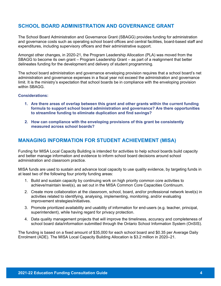# **SCHOOL BOARD ADMINISTRATION AND GOVERNANCE GRANT**

The School Board Administration and Governance Grant (SBAGG) provides funding for administration and governance costs such as operating school board offices and central facilities, board-based staff and expenditures, including supervisory officers and their administrative support.

Amongst other changes, in 2020-21, the Program Leadership Allocation (PLA) was moved from the SBAGG to become its own grant – Program Leadership Grant – as part of a realignment that better delineates funding for the development and delivery of student programming.

The school board administration and governance enveloping provision requires that a school board's net administration and governance expenses in a fiscal year not exceed the administration and governance limit. It is the ministry's expectation that school boards be in compliance with the enveloping provision within SBAGG.

#### **Considerations:**

- **1. Are there areas of overlap between this grant and other grants within the current funding formula to support school board administration and governance? Are there opportunities to streamline funding to eliminate duplication and find savings?**
- **2. How can compliance with the enveloping provisions of this grant be consistently measured across school boards?**

## **MANAGING INFORMATION FOR STUDENT ACHIEVEMENT (MISA)**

Funding for MISA Local Capacity Building is intended for activities to help school boards build capacity and better manage information and evidence to inform school board decisions around school administration and classroom practice.

MISA funds are used to sustain and advance local capacity to use quality evidence, by targeting funds in at least two of the following four priority funding areas:

- 1. Build and sustain capacity by continuing work on high priority common core activities to achieve/maintain level(s), as set out in the MISA Common Core Capacities Continuum.
- 2. Create more collaboration at the classroom, school, board, and/or professional network level(s) in activities related to identifying, analysing, implementing, monitoring, and/or evaluating improvement strategies/initiatives.
- 3. Promote prioritized availability and usability of information for end-users (e.g. teacher, principal, superintendent), while having regard for privacy protection.
- 4. Data quality management projects that will improve the timeliness, accuracy and completeness of school board data/information submitted through the Ontario School Information System (OnSIS).

The funding is based on a fixed amount of \$35,000 for each school board and \$0.35 per Average Daily Enrolment (ADE). The MISA Local Capacity Building Allocation is \$3.2 million in 2020–21.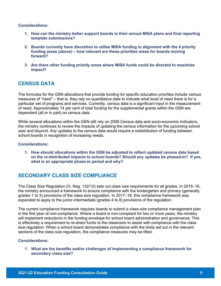**Considerations:**

- **1. How can the ministry better support boards in their annual MISA plans and final reporting template submissions?**
- **2. Boards currently have discretion to utilize MISA funding in alignment with the 4 priority funding areas (above) – how relevant are these priorities areas for boards moving forward?**
- **3. Are there other funding priority areas where MISA funds could be directed to maximize impact?**

# **CENSUS DATA**

The formulas for the GSN allocations that provide funding for specific education priorities include various measures of "need" – that is, they rely on quantitative data to indicate what level of need there is for a particular set of programs and services. Currently, census data is a significant input in the measurement of need. Approximately 14 per cent of total funding for the supplemental grants within the GSN are dependent (all or in part) on census data.

While several allocations within the GSN still rely on 2006 Census data and socio-economic indicators, the ministry continues to review the impacts of updating the census information for the upcoming school year and beyond. Any updates to the census data would require a redistribution of funding between school boards in recognition of increasing needs.

#### **Considerations:**

**1. How should allocations within the GSN be adjusted to reflect updated census data based on the re-distributed impacts to school boards? Should any updates be phased-in? If yes, what is an appropriate phase-in period and why?**

# **SECONDARY CLASS SIZE COMPLIANCE**

The Class Size Regulation (O. Reg. 132/12) sets out class size requirements for all grades. In 2015–16, the ministry announced a framework to ensure compliance with the kindergarten and primary (generally grades 1 to 3) provisions of the class size regulation. In 2017–18, this compliance framework was expanded to apply to the junior-intermediate (grades 4 to 8) provisions of the regulation.

The current compliance framework requires boards to submit a class size compliance management plan in the first year of non-compliance. Where a board is non-compliant for two or more years, the ministry will implement reductions in the funding envelope for school board administration and governance. This is effectively a requirement to re-direct funds to the classroom to assist with compliance with the class size regulation. When a school board demonstrates compliance with the limits set out in the relevant sections of the class size regulation, the compliance measures may be lifted.

#### **Considerations:**

**1. What are the benefits and/or challenges of implementing a compliance framework for secondary class size?**